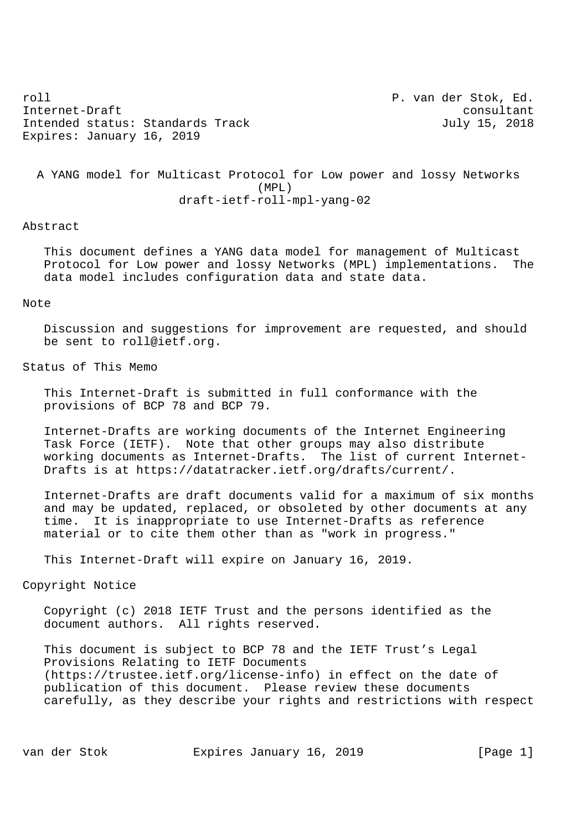roll P. van der Stok, Ed. Internet-Draft consultant Intended status: Standards Track July 15, 2018 Expires: January 16, 2019

 A YANG model for Multicast Protocol for Low power and lossy Networks (MPL) draft-ietf-roll-mpl-yang-02

## Abstract

 This document defines a YANG data model for management of Multicast Protocol for Low power and lossy Networks (MPL) implementations. The data model includes configuration data and state data.

### Note

 Discussion and suggestions for improvement are requested, and should be sent to roll@ietf.org.

# Status of This Memo

 This Internet-Draft is submitted in full conformance with the provisions of BCP 78 and BCP 79.

 Internet-Drafts are working documents of the Internet Engineering Task Force (IETF). Note that other groups may also distribute working documents as Internet-Drafts. The list of current Internet- Drafts is at https://datatracker.ietf.org/drafts/current/.

 Internet-Drafts are draft documents valid for a maximum of six months and may be updated, replaced, or obsoleted by other documents at any time. It is inappropriate to use Internet-Drafts as reference material or to cite them other than as "work in progress."

This Internet-Draft will expire on January 16, 2019.

Copyright Notice

 Copyright (c) 2018 IETF Trust and the persons identified as the document authors. All rights reserved.

 This document is subject to BCP 78 and the IETF Trust's Legal Provisions Relating to IETF Documents (https://trustee.ietf.org/license-info) in effect on the date of publication of this document. Please review these documents carefully, as they describe your rights and restrictions with respect

van der Stok Expires January 16, 2019 [Page 1]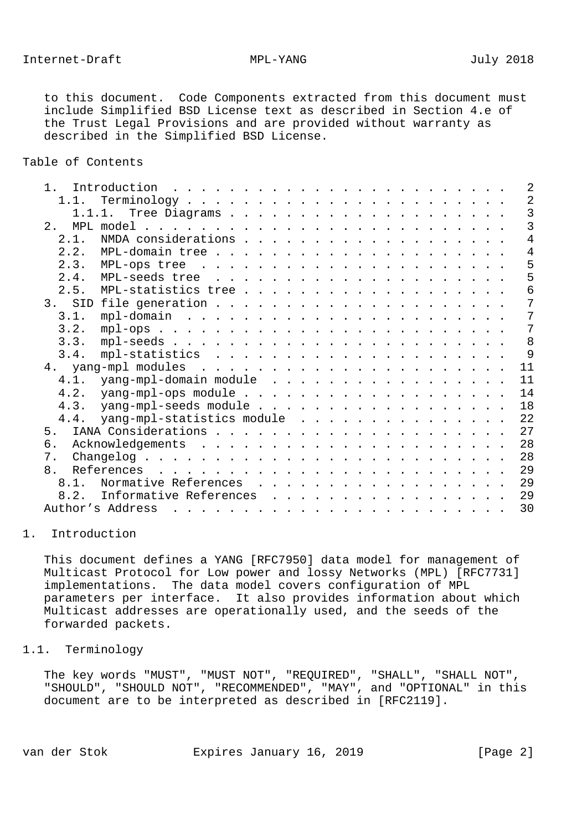to this document. Code Components extracted from this document must include Simplified BSD License text as described in Section 4.e of the Trust Legal Provisions and are provided without warranty as described in the Simplified BSD License.

Table of Contents

| 1 <sup>1</sup> |                                                                                                                                                                                                                                                       |  |  | 2              |
|----------------|-------------------------------------------------------------------------------------------------------------------------------------------------------------------------------------------------------------------------------------------------------|--|--|----------------|
| 1.1.           |                                                                                                                                                                                                                                                       |  |  | 2              |
|                |                                                                                                                                                                                                                                                       |  |  | $\overline{3}$ |
| 2.1            |                                                                                                                                                                                                                                                       |  |  | 3              |
| 2.1.           |                                                                                                                                                                                                                                                       |  |  | 4              |
| 2.2.           |                                                                                                                                                                                                                                                       |  |  | 4              |
| 2.3.           |                                                                                                                                                                                                                                                       |  |  | 5              |
| 2.4.           |                                                                                                                                                                                                                                                       |  |  | 5              |
| 2.5.           |                                                                                                                                                                                                                                                       |  |  | б              |
|                |                                                                                                                                                                                                                                                       |  |  | 7              |
| 3.1.           |                                                                                                                                                                                                                                                       |  |  | 7              |
| 3.2.           |                                                                                                                                                                                                                                                       |  |  | 7              |
| 3.3.           |                                                                                                                                                                                                                                                       |  |  | 8              |
| 3.4.           |                                                                                                                                                                                                                                                       |  |  | 9              |
|                |                                                                                                                                                                                                                                                       |  |  | 11             |
| 4.1.           | yang-mpl-domain module                                                                                                                                                                                                                                |  |  | 11             |
| 4.2.           |                                                                                                                                                                                                                                                       |  |  | 14             |
| 4.3.           | yang-mpl-seeds module                                                                                                                                                                                                                                 |  |  | 18             |
| 4.4.           | yang-mpl-statistics module                                                                                                                                                                                                                            |  |  | 22             |
| 5.             |                                                                                                                                                                                                                                                       |  |  | 27             |
| б.             |                                                                                                                                                                                                                                                       |  |  | 28             |
| 7.             |                                                                                                                                                                                                                                                       |  |  | 28             |
| 8.             | References<br>$\mathbf{1}$ , and the state of the state of the state of the state of the state of the state of the state of the state of the state of the state of the state of the state of the state of the state of the state of the state o       |  |  | 29             |
| 8.1            | Normative References                                                                                                                                                                                                                                  |  |  | 29             |
| 8.2.           | Informative References<br>$\mathbf{r}$ , $\mathbf{r}$ , $\mathbf{r}$ , $\mathbf{r}$ , $\mathbf{r}$ , $\mathbf{r}$ , $\mathbf{r}$ , $\mathbf{r}$ , $\mathbf{r}$ , $\mathbf{r}$ , $\mathbf{r}$                                                          |  |  | 29             |
|                | Author's Address<br>$\frac{1}{2}$ . The contract of the contract of the contract of the contract of the contract of the contract of the contract of the contract of the contract of the contract of the contract of the contract of the contract of t |  |  | 30             |
|                |                                                                                                                                                                                                                                                       |  |  |                |

### 1. Introduction

 This document defines a YANG [RFC7950] data model for management of Multicast Protocol for Low power and lossy Networks (MPL) [RFC7731] implementations. The data model covers configuration of MPL parameters per interface. It also provides information about which Multicast addresses are operationally used, and the seeds of the forwarded packets.

# 1.1. Terminology

 The key words "MUST", "MUST NOT", "REQUIRED", "SHALL", "SHALL NOT", "SHOULD", "SHOULD NOT", "RECOMMENDED", "MAY", and "OPTIONAL" in this document are to be interpreted as described in [RFC2119].

van der Stok Expires January 16, 2019 [Page 2]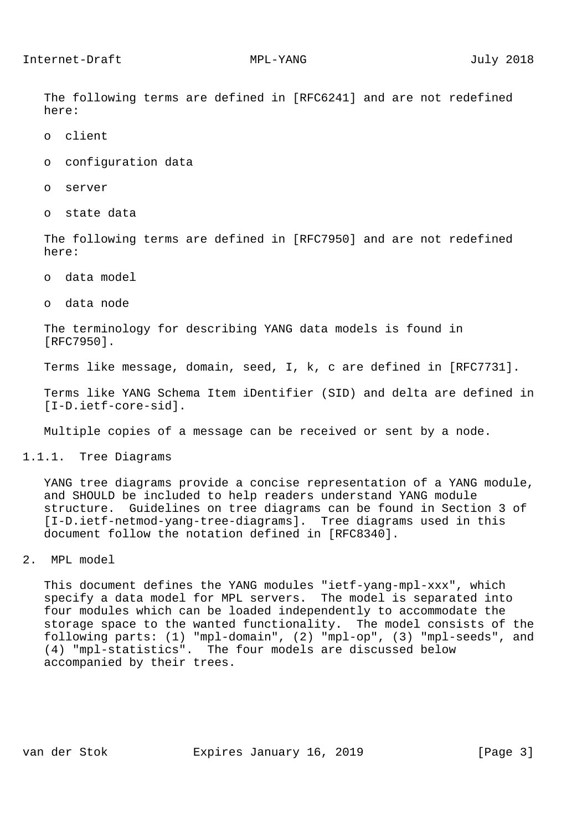The following terms are defined in [RFC6241] and are not redefined here:

- o client
- o configuration data
- o server
- o state data

 The following terms are defined in [RFC7950] and are not redefined here:

- o data model
- o data node

 The terminology for describing YANG data models is found in [RFC7950].

Terms like message, domain, seed, I, k, c are defined in [RFC7731].

 Terms like YANG Schema Item iDentifier (SID) and delta are defined in [I-D.ietf-core-sid].

Multiple copies of a message can be received or sent by a node.

1.1.1. Tree Diagrams

 YANG tree diagrams provide a concise representation of a YANG module, and SHOULD be included to help readers understand YANG module structure. Guidelines on tree diagrams can be found in Section 3 of [I-D.ietf-netmod-yang-tree-diagrams]. Tree diagrams used in this document follow the notation defined in [RFC8340].

2. MPL model

 This document defines the YANG modules "ietf-yang-mpl-xxx", which specify a data model for MPL servers. The model is separated into four modules which can be loaded independently to accommodate the storage space to the wanted functionality. The model consists of the following parts: (1) "mpl-domain", (2) "mpl-op", (3) "mpl-seeds", and (4) "mpl-statistics". The four models are discussed below accompanied by their trees.

van der Stok Expires January 16, 2019 [Page 3]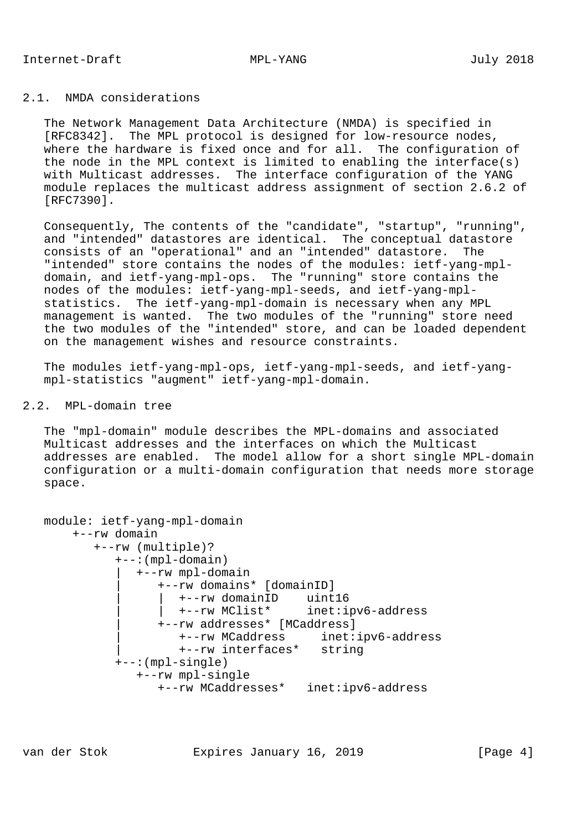# 2.1. NMDA considerations

 The Network Management Data Architecture (NMDA) is specified in [RFC8342]. The MPL protocol is designed for low-resource nodes, where the hardware is fixed once and for all. The configuration of the node in the MPL context is limited to enabling the interface(s) with Multicast addresses. The interface configuration of the YANG module replaces the multicast address assignment of section 2.6.2 of [RFC7390].

 Consequently, The contents of the "candidate", "startup", "running", and "intended" datastores are identical. The conceptual datastore consists of an "operational" and an "intended" datastore. The "intended" store contains the nodes of the modules: ietf-yang-mpl domain, and ietf-yang-mpl-ops. The "running" store contains the nodes of the modules: ietf-yang-mpl-seeds, and ietf-yang-mpl statistics. The ietf-yang-mpl-domain is necessary when any MPL management is wanted. The two modules of the "running" store need the two modules of the "intended" store, and can be loaded dependent on the management wishes and resource constraints.

 The modules ietf-yang-mpl-ops, ietf-yang-mpl-seeds, and ietf-yang mpl-statistics "augment" ietf-yang-mpl-domain.

# 2.2. MPL-domain tree

 The "mpl-domain" module describes the MPL-domains and associated Multicast addresses and the interfaces on which the Multicast addresses are enabled. The model allow for a short single MPL-domain configuration or a multi-domain configuration that needs more storage space.

```
 module: ietf-yang-mpl-domain
      +--rw domain
         +--rw (multiple)?
           +--:(mpl-domain)
              | +--rw mpl-domain
                 | +--rw domains* [domainID]
 | | +--rw domainID uint16
 | | +--rw MClist* inet:ipv6-address
                 | +--rw addresses* [MCaddress]
 | +--rw MCaddress inet:ipv6-address
 | +--rw interfaces* string
           +--:(mpl-single)
              +--rw mpl-single
                +--rw MCaddresses* inet:ipv6-address
```
van der Stok Expires January 16, 2019 [Page 4]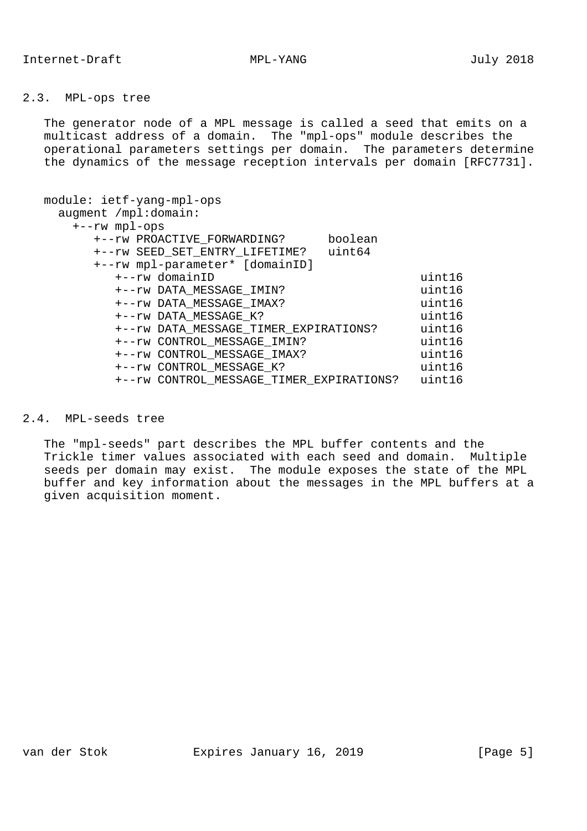# 2.3. MPL-ops tree

 The generator node of a MPL message is called a seed that emits on a multicast address of a domain. The "mpl-ops" module describes the operational parameters settings per domain. The parameters determine the dynamics of the message reception intervals per domain [RFC7731].

| module: ietf-yang-mpl-ops<br>augment /mpl:domain: |                                          |         |        |
|---------------------------------------------------|------------------------------------------|---------|--------|
| $+--rw$ mpl-ops                                   |                                          |         |        |
|                                                   | +--rw PROACTIVE_FORWARDING?              | boolean |        |
|                                                   | +--rw SEED_SET_ENTRY_LIFETIME?           | uint64  |        |
|                                                   | +--rw mpl-parameter* [domainID]          |         |        |
|                                                   | +--rw domainID                           |         | uint16 |
|                                                   | +--rw DATA MESSAGE IMIN?                 |         | uint16 |
|                                                   | +--rw DATA MESSAGE IMAX?                 |         | uint16 |
|                                                   | +--rw DATA MESSAGE K?                    |         | uint16 |
|                                                   | +--rw DATA_MESSAGE_TIMER_EXPIRATIONS?    |         | uint16 |
|                                                   | +--rw CONTROL MESSAGE IMIN?              |         | uint16 |
|                                                   | +--rw CONTROL MESSAGE IMAX?              |         | uint16 |
|                                                   | +--rw CONTROL MESSAGE K?                 |         | uint16 |
|                                                   | +--rw CONTROL MESSAGE TIMER EXPIRATIONS? |         | uint16 |
|                                                   |                                          |         |        |

# 2.4. MPL-seeds tree

 The "mpl-seeds" part describes the MPL buffer contents and the Trickle timer values associated with each seed and domain. Multiple seeds per domain may exist. The module exposes the state of the MPL buffer and key information about the messages in the MPL buffers at a given acquisition moment.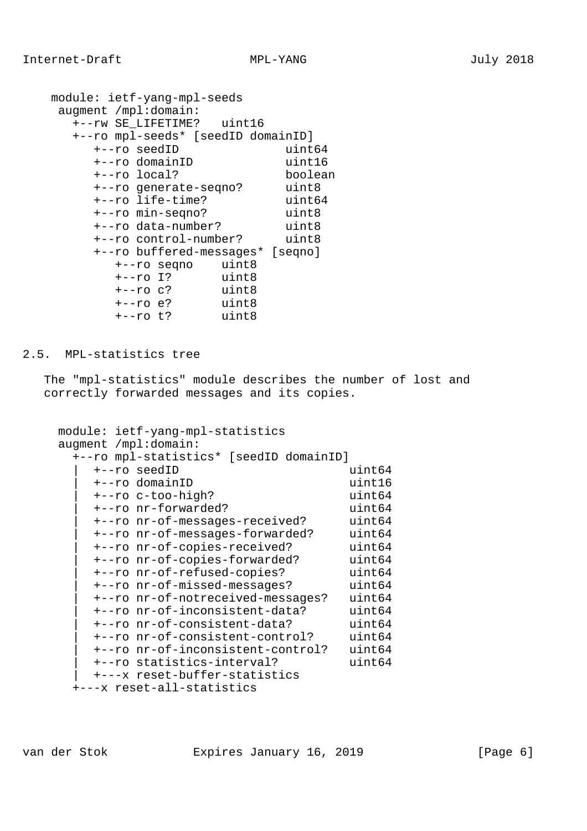```
 module: ietf-yang-mpl-seeds
    augment /mpl:domain:
     +--rw SE_LIFETIME? uint16
     +--ro mpl-seeds* [seedID domainID]
 +--ro seedID uint64
 +--ro domainID uint16
 +--ro local? boolean
 +--ro generate-seqno? uint8
 +--ro life-time? uint64
 +--ro min-seqno? uint8
 +--ro data-number? uint8
 +--ro control-number? uint8
        +--ro buffered-messages* [seqno]
          +--ro seqno uint8
         +--ro I?
          +--ro c? uint8
          +--ro e? uint8
          +--ro t? uint8
```
### 2.5. MPL-statistics tree

 The "mpl-statistics" module describes the number of lost and correctly forwarded messages and its copies.

```
 module: ietf-yang-mpl-statistics
     augment /mpl:domain:
      +--ro mpl-statistics* [seedID domainID]
         | +--ro seedID uint64
         | +--ro domainID uint16
         | +--ro c-too-high? uint64
         | +--ro nr-forwarded? uint64
         | +--ro nr-of-messages-received? uint64
         | +--ro nr-of-messages-forwarded? uint64
         | +--ro nr-of-copies-received? uint64
 | +--ro nr-of-copies-forwarded? uint64
 | +--ro nr-of-refused-copies? uint64
 | +--ro nr-of-missed-messages? uint64
         | +--ro nr-of-notreceived-messages? uint64
         | +--ro nr-of-inconsistent-data? uint64
         | +--ro nr-of-consistent-data? uint64
 | +--ro nr-of-consistent-control? uint64
 | +--ro nr-of-inconsistent-control? uint64
         | +--ro statistics-interval? uint64
         | +---x reset-buffer-statistics
      +---x reset-all-statistics
```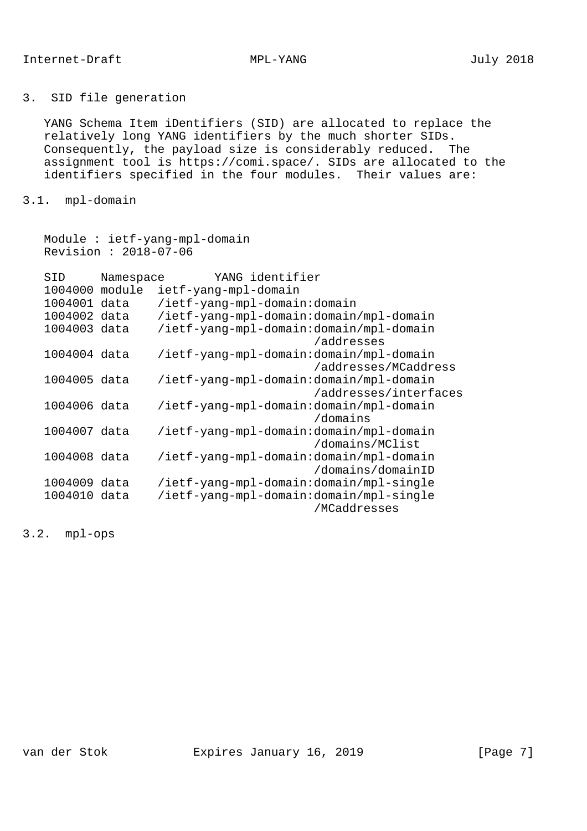# 3. SID file generation

 YANG Schema Item iDentifiers (SID) are allocated to replace the relatively long YANG identifiers by the much shorter SIDs. Consequently, the payload size is considerably reduced. The assignment tool is https://comi.space/. SIDs are allocated to the identifiers specified in the four modules. Their values are:

# 3.1. mpl-domain

 Module : ietf-yang-mpl-domain Revision : 2018-07-06

| SID          | Namespace | YANG identifier                                                  |
|--------------|-----------|------------------------------------------------------------------|
| 1004000      | module    | ietf-yang-mpl-domain                                             |
| 1004001 data |           | /ietf-yang-mpl-domain:domain                                     |
| 1004002 data |           | /ietf-yang-mpl-domain:domain/mpl-domain                          |
| 1004003 data |           | /ietf-yang-mpl-domain:domain/mpl-domain<br>/addresses            |
| 1004004 data |           | /ietf-yang-mpl-domain:domain/mpl-domain<br>/addresses/MCaddress  |
| 1004005 data |           | /ietf-yang-mpl-domain:domain/mpl-domain<br>/addresses/interfaces |
| 1004006 data |           | /ietf-yang-mpl-domain:domain/mpl-domain<br>/domains              |
| 1004007 data |           | /ietf-yang-mpl-domain:domain/mpl-domain<br>/domains/MClist       |
| 1004008 data |           | /ietf-yang-mpl-domain:domain/mpl-domain<br>/domains/domainID     |
| 1004009 data |           | /ietf-yang-mpl-domain:domain/mpl-single                          |
| 1004010 data |           | /ietf-yang-mpl-domain:domain/mpl-single<br>/MCaddresses          |

3.2. mpl-ops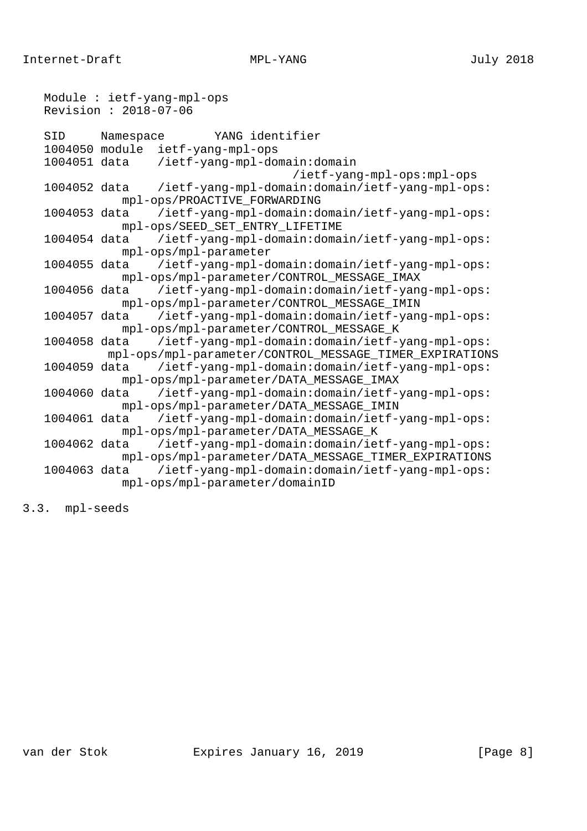Module : ietf-yang-mpl-ops Revision : 2018-07-06 SID Namespace YANG identifier 1004050 module ietf-yang-mpl-ops 1004051 data /ietf-yang-mpl-domain:domain /ietf-yang-mpl-ops:mpl-ops 1004052 data /ietf-yang-mpl-domain:domain/ietf-yang-mpl-ops: mpl-ops/PROACTIVE\_FORWARDING 1004053 data /ietf-yang-mpl-domain:domain/ietf-yang-mpl-ops: mpl-ops/SEED\_SET\_ENTRY\_LIFETIME 1004054 data /ietf-yang-mpl-domain:domain/ietf-yang-mpl-ops: mpl-ops/mpl-parameter 1004055 data /ietf-yang-mpl-domain:domain/ietf-yang-mpl-ops: mpl-ops/mpl-parameter/CONTROL\_MESSAGE\_IMAX 1004056 data /ietf-yang-mpl-domain:domain/ietf-yang-mpl-ops: mpl-ops/mpl-parameter/CONTROL\_MESSAGE\_IMIN<br>1004057 data /ietf-yang-mpl-domain:domain/ietf-yang /ietf-yang-mpl-domain:domain/ietf-yang-mpl-ops: mpl-ops/mpl-parameter/CONTROL\_MESSAGE\_K 1004058 data /ietf-yang-mpl-domain:domain/ietf-yang-mpl-ops: mpl-ops/mpl-parameter/CONTROL\_MESSAGE\_TIMER\_EXPIRATIONS 1004059 data /ietf-yang-mpl-domain:domain/ietf-yang-mpl-ops: mpl-ops/mpl-parameter/DATA\_MESSAGE\_IMAX 1004060 data /ietf-yang-mpl-domain:domain/ietf-yang-mpl-ops: mpl-ops/mpl-parameter/DATA\_MESSAGE\_IMIN 1004061 data /ietf-yang-mpl-domain:domain/ietf-yang-mpl-ops: mpl-ops/mpl-parameter/DATA\_MESSAGE\_K 1004062 data /ietf-yang-mpl-domain:domain/ietf-yang-mpl-ops: mpl-ops/mpl-parameter/DATA\_MESSAGE\_TIMER\_EXPIRATIONS 1004063 data /ietf-yang-mpl-domain:domain/ietf-yang-mpl-ops: mpl-ops/mpl-parameter/domainID

3.3. mpl-seeds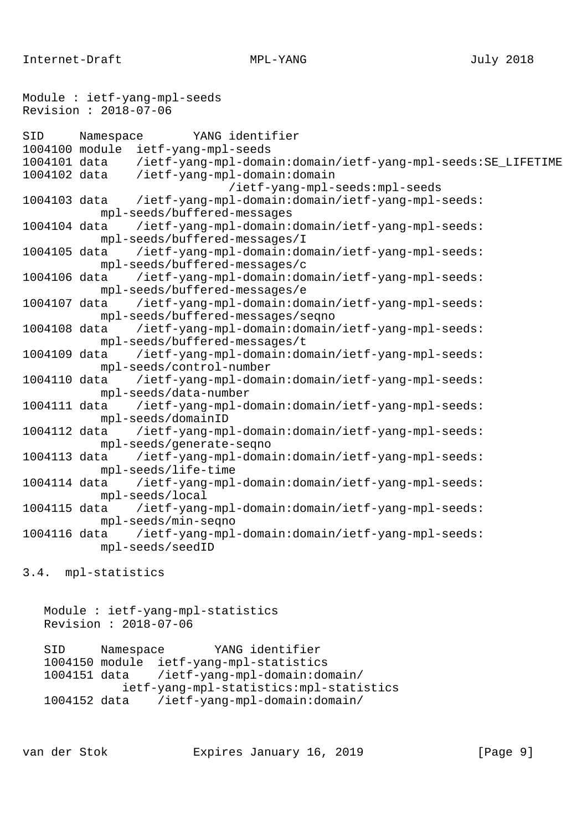Internet-Draft MPL-YANG MPL-YANG July 2018

```
Module : ietf-yang-mpl-seeds
Revision : 2018-07-06
SID Namespace YANG identifier
1004100 module ietf-yang-mpl-seeds
1004101 data /ietf-yang-mpl-domain:domain/ietf-yang-mpl-seeds:SE_LIFETIME
1004102 data /ietf-yang-mpl-domain:domain
                             /ietf-yang-mpl-seeds:mpl-seeds
1004103 data /ietf-yang-mpl-domain:domain/ietf-yang-mpl-seeds:
           mpl-seeds/buffered-messages
1004104 data /ietf-yang-mpl-domain:domain/ietf-yang-mpl-seeds:
           mpl-seeds/buffered-messages/I
1004105 data /ietf-yang-mpl-domain:domain/ietf-yang-mpl-seeds:
           mpl-seeds/buffered-messages/c
1004106 data /ietf-yang-mpl-domain:domain/ietf-yang-mpl-seeds:
           mpl-seeds/buffered-messages/e
1004107 data /ietf-yang-mpl-domain:domain/ietf-yang-mpl-seeds:
           mpl-seeds/buffered-messages/seqno
1004108 data /ietf-yang-mpl-domain:domain/ietf-yang-mpl-seeds:
           mpl-seeds/buffered-messages/t
1004109 data /ietf-yang-mpl-domain:domain/ietf-yang-mpl-seeds:
           mpl-seeds/control-number
1004110 data /ietf-yang-mpl-domain:domain/ietf-yang-mpl-seeds:
           mpl-seeds/data-number
1004111 data /ietf-yang-mpl-domain:domain/ietf-yang-mpl-seeds:
           mpl-seeds/domainID
1004112 data /ietf-yang-mpl-domain:domain/ietf-yang-mpl-seeds:
           mpl-seeds/generate-seqno
1004113 data /ietf-yang-mpl-domain:domain/ietf-yang-mpl-seeds:
           mpl-seeds/life-time
1004114 data /ietf-yang-mpl-domain:domain/ietf-yang-mpl-seeds:
           mpl-seeds/local
1004115 data /ietf-yang-mpl-domain:domain/ietf-yang-mpl-seeds:
           mpl-seeds/min-seqno
1004116 data /ietf-yang-mpl-domain:domain/ietf-yang-mpl-seeds:
           mpl-seeds/seedID
3.4. mpl-statistics
```

```
 Module : ietf-yang-mpl-statistics
 Revision : 2018-07-06
```
 SID Namespace YANG identifier 1004150 module ietf-yang-mpl-statistics 1004151 data /ietf-yang-mpl-domain:domain/ ietf-yang-mpl-statistics:mpl-statistics 1004152 data /ietf-yang-mpl-domain:domain/

van der Stok Expires January 16, 2019 [Page 9]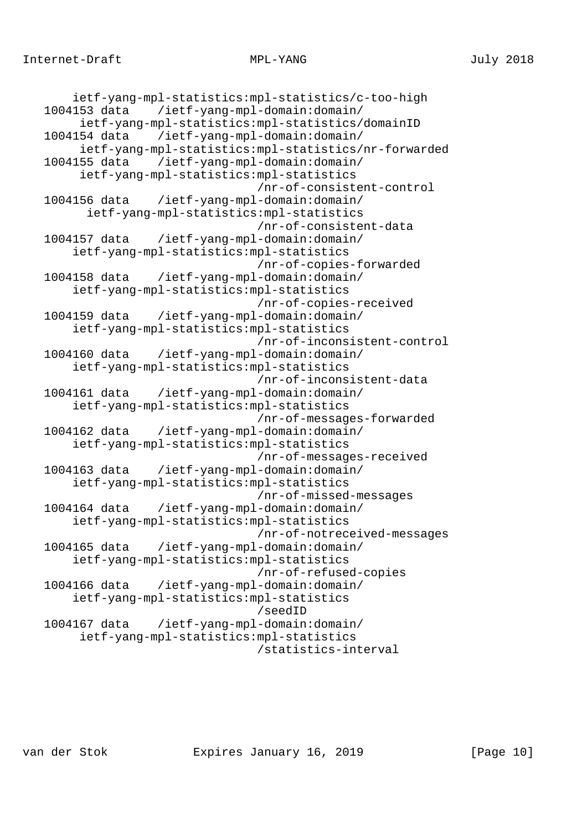```
 ietf-yang-mpl-statistics:mpl-statistics/c-too-high
 1004153 data /ietf-yang-mpl-domain:domain/
      ietf-yang-mpl-statistics:mpl-statistics/domainID
 1004154 data /ietf-yang-mpl-domain:domain/
      ietf-yang-mpl-statistics:mpl-statistics/nr-forwarded
 1004155 data /ietf-yang-mpl-domain:domain/
      ietf-yang-mpl-statistics:mpl-statistics
                               /nr-of-consistent-control
 1004156 data /ietf-yang-mpl-domain:domain/
       ietf-yang-mpl-statistics:mpl-statistics
                               /nr-of-consistent-data
 1004157 data /ietf-yang-mpl-domain:domain/
     ietf-yang-mpl-statistics:mpl-statistics
                               /nr-of-copies-forwarded
 1004158 data /ietf-yang-mpl-domain:domain/
     ietf-yang-mpl-statistics:mpl-statistics
                               /nr-of-copies-received
 1004159 data /ietf-yang-mpl-domain:domain/
     ietf-yang-mpl-statistics:mpl-statistics
                               /nr-of-inconsistent-control
 1004160 data /ietf-yang-mpl-domain:domain/
     ietf-yang-mpl-statistics:mpl-statistics
                               /nr-of-inconsistent-data
 1004161 data /ietf-yang-mpl-domain:domain/
     ietf-yang-mpl-statistics:mpl-statistics
                               /nr-of-messages-forwarded
 1004162 data /ietf-yang-mpl-domain:domain/
     ietf-yang-mpl-statistics:mpl-statistics
                               /nr-of-messages-received
 1004163 data /ietf-yang-mpl-domain:domain/
     ietf-yang-mpl-statistics:mpl-statistics
                               /nr-of-missed-messages
 1004164 data /ietf-yang-mpl-domain:domain/
     ietf-yang-mpl-statistics:mpl-statistics
                               /nr-of-notreceived-messages
 1004165 data /ietf-yang-mpl-domain:domain/
     ietf-yang-mpl-statistics:mpl-statistics
                               /nr-of-refused-copies
 1004166 data /ietf-yang-mpl-domain:domain/
     ietf-yang-mpl-statistics:mpl-statistics
                               /seedID
 1004167 data /ietf-yang-mpl-domain:domain/
      ietf-yang-mpl-statistics:mpl-statistics
                               /statistics-interval
```
van der Stok Expires January 16, 2019 [Page 10]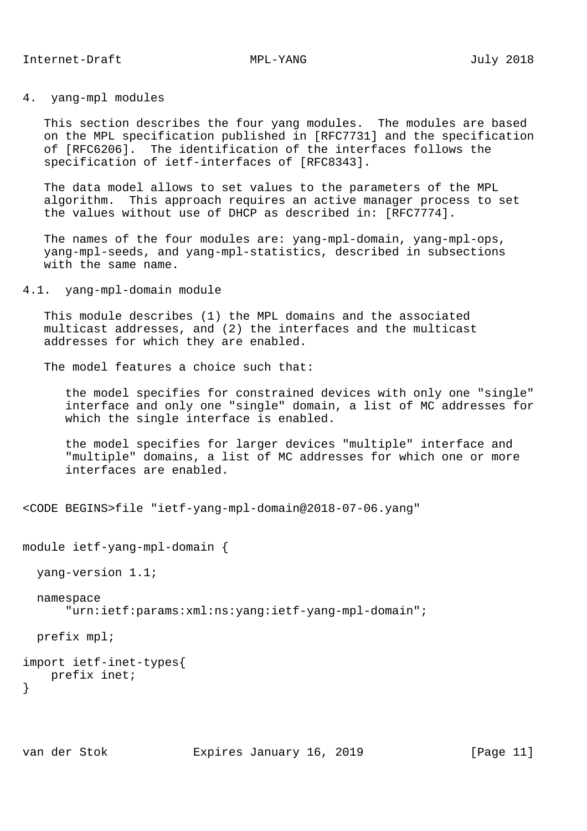## 4. yang-mpl modules

 This section describes the four yang modules. The modules are based on the MPL specification published in [RFC7731] and the specification of [RFC6206]. The identification of the interfaces follows the specification of ietf-interfaces of [RFC8343].

 The data model allows to set values to the parameters of the MPL algorithm. This approach requires an active manager process to set the values without use of DHCP as described in: [RFC7774].

 The names of the four modules are: yang-mpl-domain, yang-mpl-ops, yang-mpl-seeds, and yang-mpl-statistics, described in subsections with the same name.

4.1. yang-mpl-domain module

 This module describes (1) the MPL domains and the associated multicast addresses, and (2) the interfaces and the multicast addresses for which they are enabled.

The model features a choice such that:

 the model specifies for constrained devices with only one "single" interface and only one "single" domain, a list of MC addresses for which the single interface is enabled.

 the model specifies for larger devices "multiple" interface and "multiple" domains, a list of MC addresses for which one or more interfaces are enabled.

```
<CODE BEGINS>file "ietf-yang-mpl-domain@2018-07-06.yang"
```

```
module ietf-yang-mpl-domain {
```
yang-version 1.1;

```
 namespace
```
"urn:ietf:params:xml:ns:yang:ietf-yang-mpl-domain";

prefix mpl;

```
import ietf-inet-types{
   prefix inet;
}
```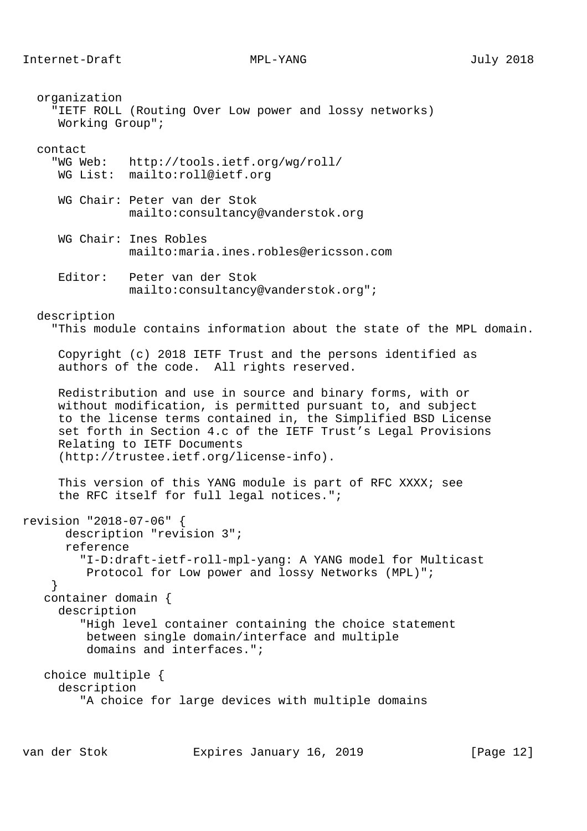organization

 "IETF ROLL (Routing Over Low power and lossy networks) Working Group"; contact "WG Web: http://tools.ietf.org/wg/roll/ WG List: mailto:roll@ietf.org WG Chair: Peter van der Stok mailto:consultancy@vanderstok.org WG Chair: Ines Robles mailto:maria.ines.robles@ericsson.com Editor: Peter van der Stok mailto:consultancy@vanderstok.org"; description "This module contains information about the state of the MPL domain. Copyright (c) 2018 IETF Trust and the persons identified as authors of the code. All rights reserved. Redistribution and use in source and binary forms, with or without modification, is permitted pursuant to, and subject to the license terms contained in, the Simplified BSD License set forth in Section 4.c of the IETF Trust's Legal Provisions Relating to IETF Documents (http://trustee.ietf.org/license-info). This version of this YANG module is part of RFC XXXX; see the RFC itself for full legal notices."; revision "2018-07-06" { description "revision 3"; reference "I-D:draft-ietf-roll-mpl-yang: A YANG model for Multicast Protocol for Low power and lossy Networks (MPL)"; } container domain { description "High level container containing the choice statement between single domain/interface and multiple domains and interfaces."; choice multiple { description

```
 "A choice for large devices with multiple domains
```
van der Stok Expires January 16, 2019 [Page 12]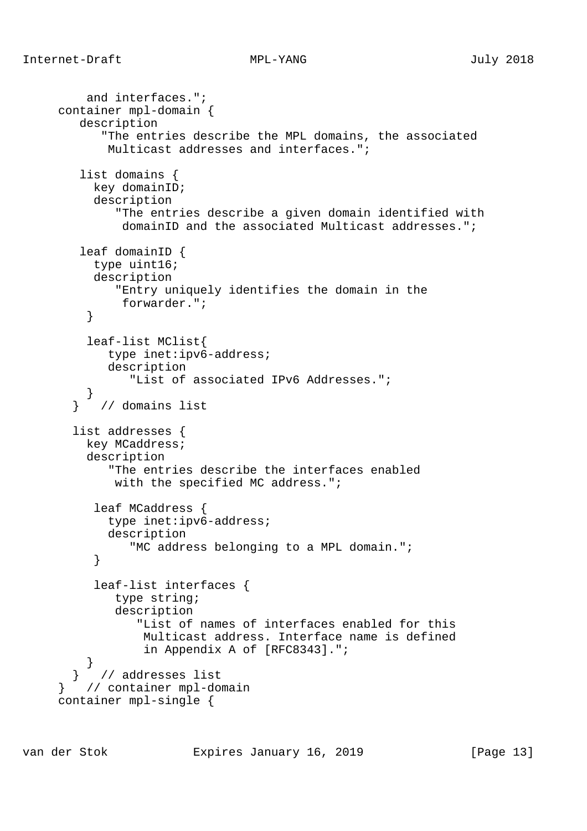```
 and interfaces.";
     container mpl-domain {
        description
            "The entries describe the MPL domains, the associated
            Multicast addresses and interfaces.";
        list domains {
          key domainID;
          description
              "The entries describe a given domain identified with
               domainID and the associated Multicast addresses.";
        leaf domainID {
           type uint16;
          description
              "Entry uniquely identifies the domain in the
               forwarder.";
 }
          leaf-list MClist{
            type inet:ipv6-address;
            description
                "List of associated IPv6 Addresses.";
 }
        } // domains list
       list addresses {
         key MCaddress;
          description
             "The entries describe the interfaces enabled
            with the specified MC address.";
           leaf MCaddress {
            type inet:ipv6-address;
            description
                "MC address belonging to a MPL domain.";
 }
           leaf-list interfaces {
             type string;
              description
                 "List of names of interfaces enabled for this
                  Multicast address. Interface name is defined
                  in Appendix A of [RFC8343].";
 }
        } // addresses list
      } // container mpl-domain
     container mpl-single {
```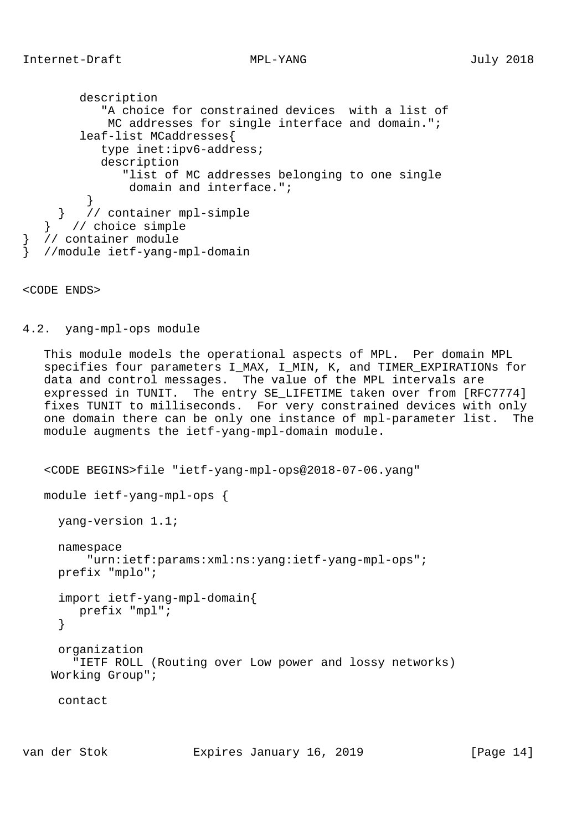description "A choice for constrained devices with a list of MC addresses for single interface and domain."; leaf-list MCaddresses{ type inet:ipv6-address; description "list of MC addresses belonging to one single domain and interface."; } } // container mpl-simple } // choice simple } // container module } //module ietf-yang-mpl-domain

<CODE ENDS>

4.2. yang-mpl-ops module

 This module models the operational aspects of MPL. Per domain MPL specifies four parameters I MAX, I MIN, K, and TIMER EXPIRATIONs for data and control messages. The value of the MPL intervals are expressed in TUNIT. The entry SE\_LIFETIME taken over from [RFC7774] fixes TUNIT to milliseconds. For very constrained devices with only one domain there can be only one instance of mpl-parameter list. The module augments the ietf-yang-mpl-domain module.

```
 <CODE BEGINS>file "ietf-yang-mpl-ops@2018-07-06.yang"
 module ietf-yang-mpl-ops {
   yang-version 1.1;
   namespace
       "urn:ietf:params:xml:ns:yang:ietf-yang-mpl-ops";
   prefix "mplo";
   import ietf-yang-mpl-domain{
      prefix "mpl";
   }
   organization
     "IETF ROLL (Routing over Low power and lossy networks)
  Working Group";
   contact
```
van der Stok Expires January 16, 2019 [Page 14]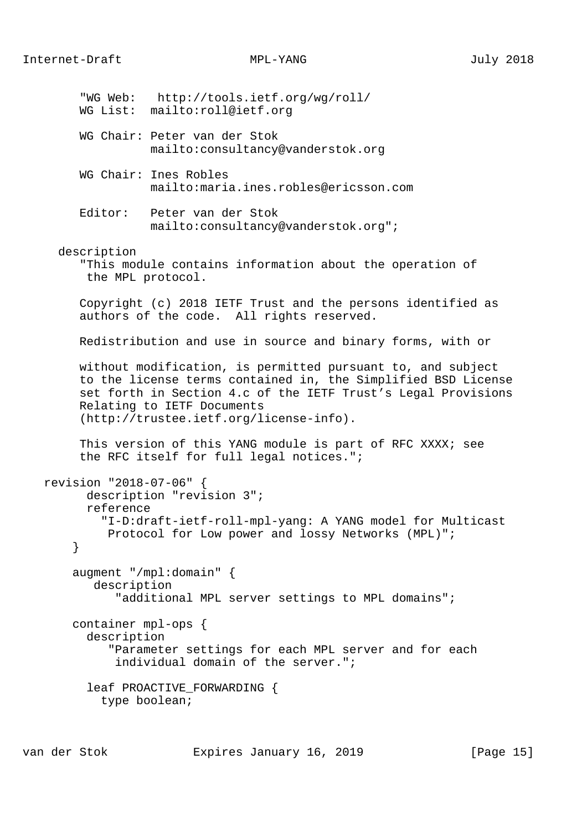|   |                                      | "WG Web: http://tools.ietf.org/wg/roll/<br>WG List: mailto:roll@ietf.org                                                                                                                                                                                               |
|---|--------------------------------------|------------------------------------------------------------------------------------------------------------------------------------------------------------------------------------------------------------------------------------------------------------------------|
|   |                                      | WG Chair: Peter van der Stok<br>mailto:consultancy@vanderstok.org                                                                                                                                                                                                      |
|   |                                      | WG Chair: Ines Robles<br>mailto: maria.ines.robles@ericsson.com                                                                                                                                                                                                        |
|   | Editor:                              | Peter van der Stok<br>mailto: consultancy@vanderstok.org";                                                                                                                                                                                                             |
|   | description<br>the MPL protocol.     | "This module contains information about the operation of                                                                                                                                                                                                               |
|   |                                      | Copyright (c) 2018 IETF Trust and the persons identified as<br>authors of the code. All rights reserved.                                                                                                                                                               |
|   |                                      | Redistribution and use in source and binary forms, with or                                                                                                                                                                                                             |
|   |                                      | without modification, is permitted pursuant to, and subject<br>to the license terms contained in, the Simplified BSD License<br>set forth in Section 4.c of the IETF Trust's Legal Provisions<br>Relating to IETF Documents<br>(http://trustee.ietf.org/license-info). |
|   |                                      | This version of this YANG module is part of RFC XXXX; see<br>the RFC itself for full legal notices.";                                                                                                                                                                  |
| } | revision "2018-07-06" {<br>reference | description "revision 3";<br>"I-D:draft-ietf-roll-mpl-yang: A YANG model for Multicast<br>Protocol for Low power and lossy Networks (MPL)";                                                                                                                            |
|   | description                          | augment "/mpl:domain" $\{$<br>"additional MPL server settings to MPL domains";                                                                                                                                                                                         |
|   | container mpl-ops {<br>description   | "Parameter settings for each MPL server and for each<br>individual domain of the server.";                                                                                                                                                                             |
|   | type boolean;                        | leaf PROACTIVE_FORWARDING {                                                                                                                                                                                                                                            |
|   |                                      |                                                                                                                                                                                                                                                                        |

van der Stok Expires January 16, 2019 [Page 15]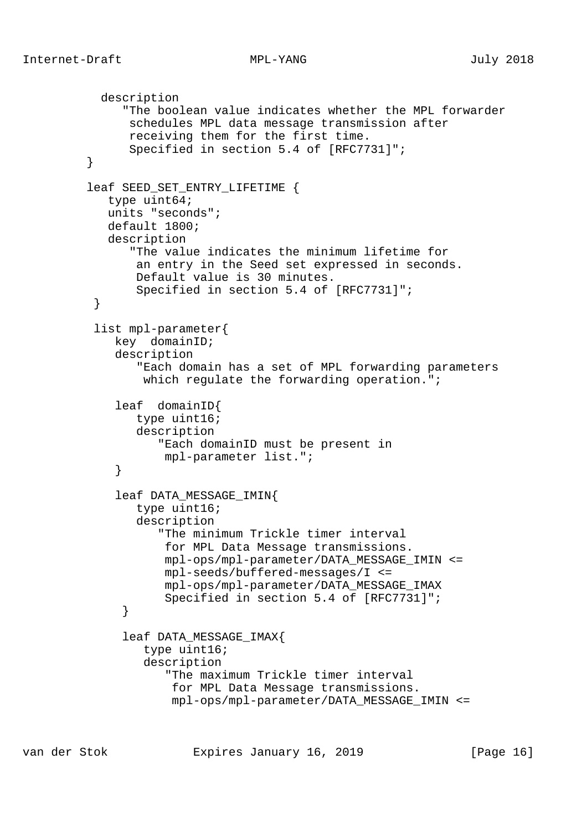```
 description
               "The boolean value indicates whether the MPL forwarder
               schedules MPL data message transmission after
               receiving them for the first time.
                Specified in section 5.4 of [RFC7731]";
 }
         leaf SEED_SET_ENTRY_LIFETIME {
            type uint64;
            units "seconds";
            default 1800;
             description
                "The value indicates the minimum lifetime for
                 an entry in the Seed set expressed in seconds.
                Default value is 30 minutes.
                Specified in section 5.4 of [RFC7731]";
 }
           list mpl-parameter{
             key domainID;
             description
                 "Each domain has a set of MPL forwarding parameters
                 which regulate the forwarding operation.";
              leaf domainID{
                type uint16;
                description
                    "Each domainID must be present in
             mpl-parameter list.";<br>}
 }
              leaf DATA_MESSAGE_IMIN{
                 type uint16;
                description
                    "The minimum Trickle timer interval
                     for MPL Data Message transmissions.
                    mpl-ops/mpl-parameter/DATA_MESSAGE_IMIN <=
                     mpl-seeds/buffered-messages/I <=
                    mpl-ops/mpl-parameter/DATA_MESSAGE_IMAX
                     Specified in section 5.4 of [RFC7731]";
 }
               leaf DATA_MESSAGE_IMAX{
                  type uint16;
                  description
                     "The maximum Trickle timer interval
                      for MPL Data Message transmissions.
                      mpl-ops/mpl-parameter/DATA_MESSAGE_IMIN <=
```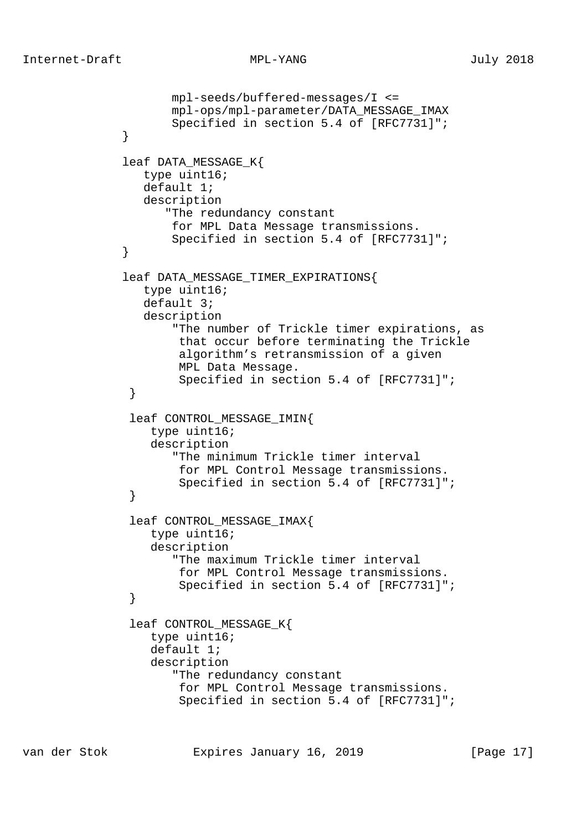```
 mpl-seeds/buffered-messages/I <=
                     mpl-ops/mpl-parameter/DATA_MESSAGE_IMAX
                     Specified in section 5.4 of [RFC7731]";
 }
              leaf DATA_MESSAGE_K{
                 type uint16;
                 default 1;
                 description
                    "The redundancy constant
                     for MPL Data Message transmissions.
                     Specified in section 5.4 of [RFC7731]";
 }
              leaf DATA_MESSAGE_TIMER_EXPIRATIONS{
                 type uint16;
                 default 3;
                 description
                     "The number of Trickle timer expirations, as
                      that occur before terminating the Trickle
                      algorithm's retransmission of a given
                      MPL Data Message.
                      Specified in section 5.4 of [RFC7731]";
 }
               leaf CONTROL_MESSAGE_IMIN{
                  type uint16;
                  description
                     "The minimum Trickle timer interval
                      for MPL Control Message transmissions.
                      Specified in section 5.4 of [RFC7731]";
 }
               leaf CONTROL_MESSAGE_IMAX{
                  type uint16;
                  description
                     "The maximum Trickle timer interval
                      for MPL Control Message transmissions.
                      Specified in section 5.4 of [RFC7731]";
 }
              leaf CONTROL MESSAGE K{
                  type uint16;
                  default 1;
                  description
                     "The redundancy constant
                      for MPL Control Message transmissions.
                      Specified in section 5.4 of [RFC7731]";
```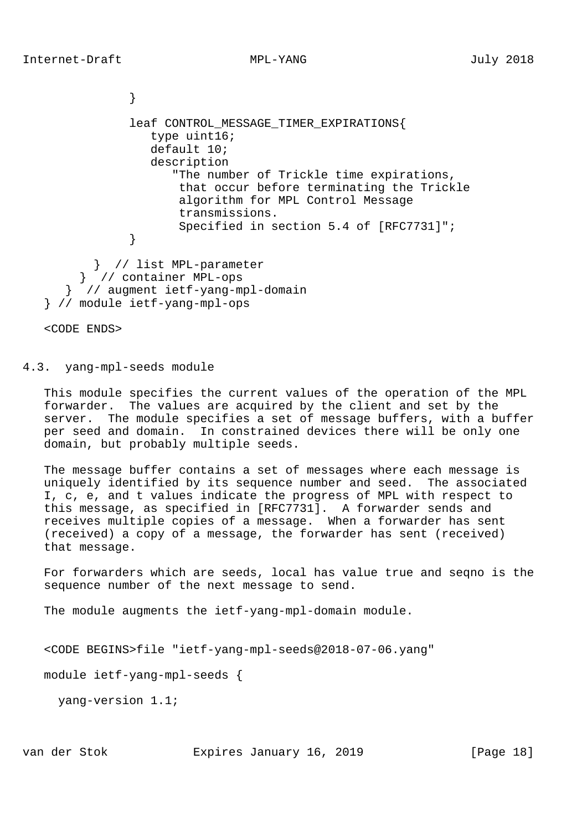```
 }
               leaf CONTROL_MESSAGE_TIMER_EXPIRATIONS{
                  type uint16;
                  default 10;
                  description
                     "The number of Trickle time expirations,
                      that occur before terminating the Trickle
                      algorithm for MPL Control Message
                      transmissions.
                      Specified in section 5.4 of [RFC7731]";
 }
          } // list MPL-parameter
        } // container MPL-ops
      } // augment ietf-yang-mpl-domain
   } // module ietf-yang-mpl-ops
```
<CODE ENDS>

4.3. yang-mpl-seeds module

 This module specifies the current values of the operation of the MPL forwarder. The values are acquired by the client and set by the server. The module specifies a set of message buffers, with a buffer per seed and domain. In constrained devices there will be only one domain, but probably multiple seeds.

 The message buffer contains a set of messages where each message is uniquely identified by its sequence number and seed. The associated I, c, e, and t values indicate the progress of MPL with respect to this message, as specified in [RFC7731]. A forwarder sends and receives multiple copies of a message. When a forwarder has sent (received) a copy of a message, the forwarder has sent (received) that message.

 For forwarders which are seeds, local has value true and seqno is the sequence number of the next message to send.

The module augments the ietf-yang-mpl-domain module.

```
 <CODE BEGINS>file "ietf-yang-mpl-seeds@2018-07-06.yang"
```
module ietf-yang-mpl-seeds {

yang-version 1.1;

van der Stok Expires January 16, 2019 [Page 18]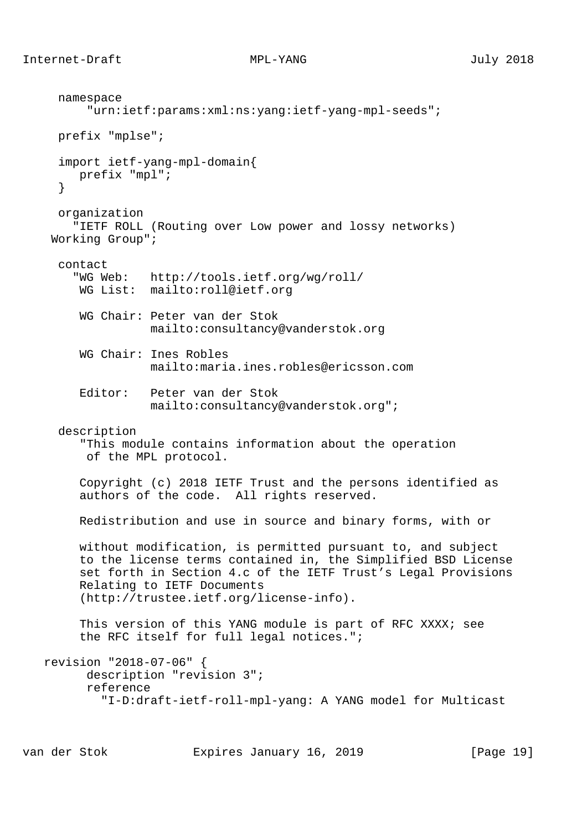namespace "urn:ietf:params:xml:ns:yang:ietf-yang-mpl-seeds"; prefix "mplse"; import ietf-yang-mpl-domain{ prefix "mpl"; } organization "IETF ROLL (Routing over Low power and lossy networks) Working Group"; contact "WG Web: http://tools.ietf.org/wg/roll/ WG List: mailto:roll@ietf.org WG Chair: Peter van der Stok mailto:consultancy@vanderstok.org WG Chair: Ines Robles mailto:maria.ines.robles@ericsson.com Editor: Peter van der Stok mailto:consultancy@vanderstok.org"; description "This module contains information about the operation of the MPL protocol. Copyright (c) 2018 IETF Trust and the persons identified as authors of the code. All rights reserved. Redistribution and use in source and binary forms, with or without modification, is permitted pursuant to, and subject to the license terms contained in, the Simplified BSD License set forth in Section 4.c of the IETF Trust's Legal Provisions Relating to IETF Documents (http://trustee.ietf.org/license-info). This version of this YANG module is part of RFC XXXX; see the RFC itself for full legal notices."; revision "2018-07-06" { description "revision 3"; reference "I-D:draft-ietf-roll-mpl-yang: A YANG model for Multicast

van der Stok Expires January 16, 2019 [Page 19]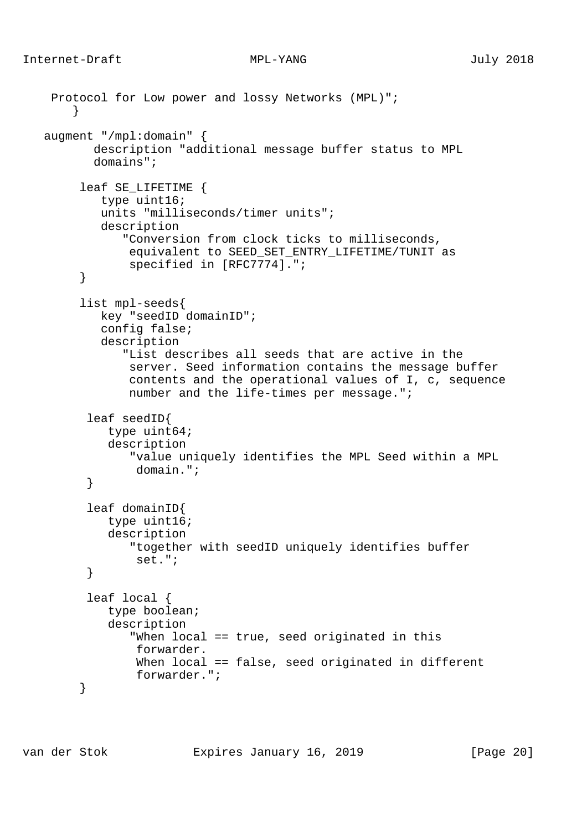```
 Protocol for Low power and lossy Networks (MPL)";
        }
    augment "/mpl:domain" {
           description "additional message buffer status to MPL
           domains";
         leaf SE_LIFETIME {
            type uint16;
            units "milliseconds/timer units";
            description
               "Conversion from clock ticks to milliseconds,
                equivalent to SEED_SET_ENTRY_LIFETIME/TUNIT as
                specified in [RFC7774].";
         }
         list mpl-seeds{
            key "seedID domainID";
            config false;
            description
               "List describes all seeds that are active in the
                server. Seed information contains the message buffer
                contents and the operational values of I, c, sequence
                number and the life-times per message.";
          leaf seedID{
             type uint64;
             description
                "value uniquely identifies the MPL Seed within a MPL
                 domain.";
 }
          leaf domainID{
             type uint16;
             description
                "together with seedID uniquely identifies buffer
                 set.";
          }
          leaf local {
             type boolean;
             description
                "When local == true, seed originated in this
                 forwarder.
                When local == false, seed originated in different
                 forwarder.";
         }
```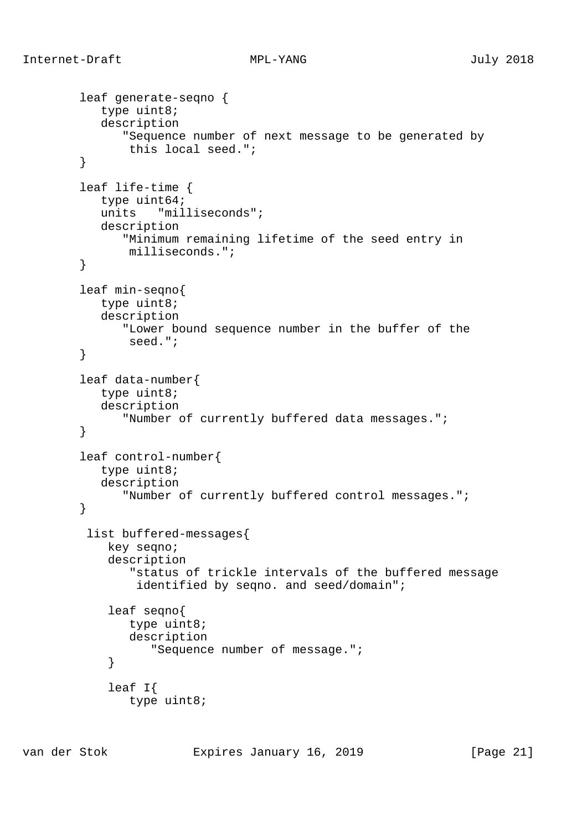```
 leaf generate-seqno {
            type uint8;
            description
               "Sequence number of next message to be generated by
                this local seed.";
         }
         leaf life-time {
            type uint64;
            units "milliseconds";
            description
               "Minimum remaining lifetime of the seed entry in
                milliseconds.";
         }
         leaf min-seqno{
            type uint8;
            description
               "Lower bound sequence number in the buffer of the
                seed.";
         }
         leaf data-number{
            type uint8;
            description
               "Number of currently buffered data messages.";
         }
         leaf control-number{
            type uint8;
            description
               "Number of currently buffered control messages.";
         }
          list buffered-messages{
             key seqno;
             description
                 "status of trickle intervals of the buffered message
                 identified by seqno. and seed/domain";
             leaf seqno{
                type uint8;
                description
                    "Sequence number of message.";
 }
             leaf I{
                type uint8;
```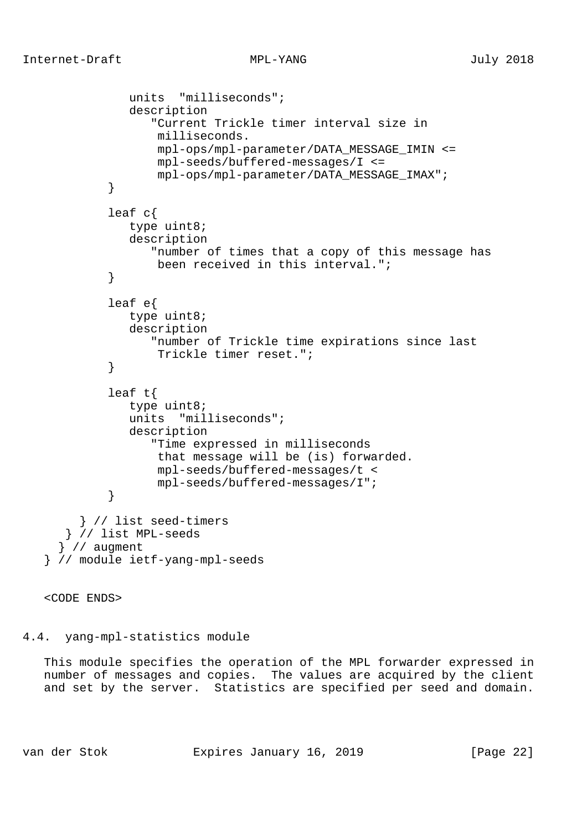```
 units "milliseconds";
               description
                   "Current Trickle timer interval size in
                   milliseconds.
                   mpl-ops/mpl-parameter/DATA_MESSAGE_IMIN <=
                   mpl-seeds/buffered-messages/I <=
                   mpl-ops/mpl-parameter/DATA_MESSAGE_IMAX";
 }
            leaf c{
               type uint8;
               description
                  "number of times that a copy of this message has
                   been received in this interval.";
 }
            leaf e{
               type uint8;
               description
                  "number of Trickle time expirations since last
                   Trickle timer reset.";
 }
            leaf t{
               type uint8;
               units "milliseconds";
               description
                   "Time expressed in milliseconds
                   that message will be (is) forwarded.
                   mpl-seeds/buffered-messages/t <
           mpl-seeds/buffered-messages/I";<br>}
 }
        } // list seed-timers
      } // list MPL-seeds
      } // augment
    } // module ietf-yang-mpl-seeds
```
<CODE ENDS>

4.4. yang-mpl-statistics module

 This module specifies the operation of the MPL forwarder expressed in number of messages and copies. The values are acquired by the client and set by the server. Statistics are specified per seed and domain.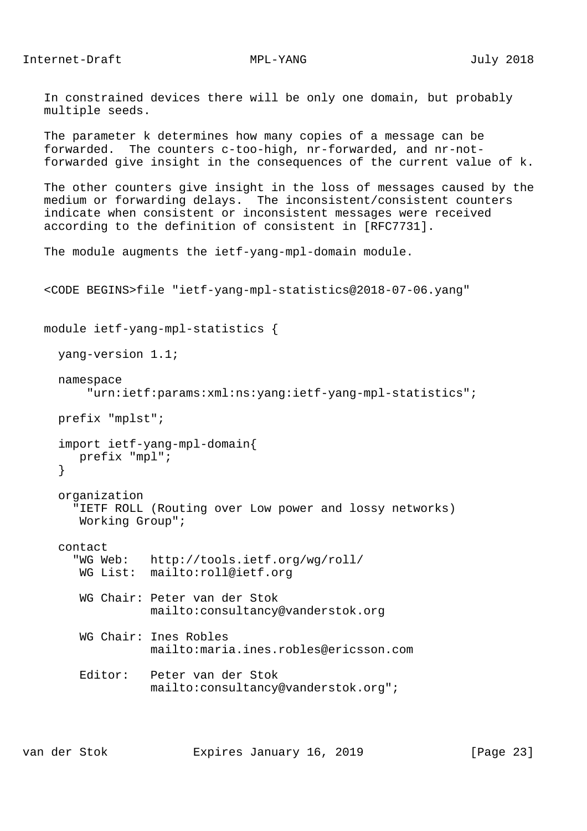Internet-Draft MPL-YANG MPL-YANG July 2018

 In constrained devices there will be only one domain, but probably multiple seeds.

 The parameter k determines how many copies of a message can be forwarded. The counters c-too-high, nr-forwarded, and nr-not forwarded give insight in the consequences of the current value of k.

 The other counters give insight in the loss of messages caused by the medium or forwarding delays. The inconsistent/consistent counters indicate when consistent or inconsistent messages were received according to the definition of consistent in [RFC7731].

```
 The module augments the ietf-yang-mpl-domain module.
```

```
 <CODE BEGINS>file "ietf-yang-mpl-statistics@2018-07-06.yang"
 module ietf-yang-mpl-statistics {
   yang-version 1.1;
   namespace
       "urn:ietf:params:xml:ns:yang:ietf-yang-mpl-statistics";
   prefix "mplst";
   import ietf-yang-mpl-domain{
      prefix "mpl";
   }
   organization
     "IETF ROLL (Routing over Low power and lossy networks)
      Working Group";
   contact
     "WG Web: http://tools.ietf.org/wg/roll/
      WG List: mailto:roll@ietf.org
      WG Chair: Peter van der Stok
                mailto:consultancy@vanderstok.org
      WG Chair: Ines Robles
                mailto:maria.ines.robles@ericsson.com
      Editor: Peter van der Stok
                mailto:consultancy@vanderstok.org";
```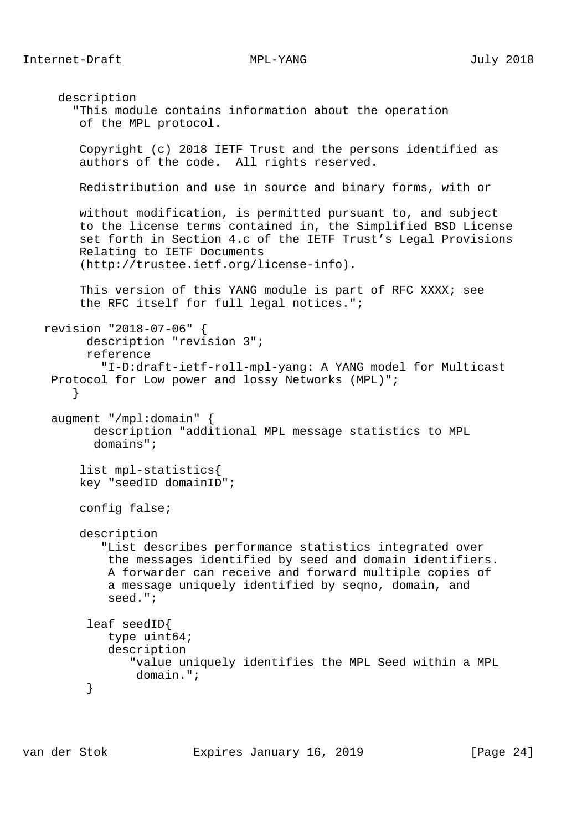Internet-Draft MPL-YANG MPL-YANG July 2018

 description "This module contains information about the operation of the MPL protocol. Copyright (c) 2018 IETF Trust and the persons identified as authors of the code. All rights reserved. Redistribution and use in source and binary forms, with or without modification, is permitted pursuant to, and subject to the license terms contained in, the Simplified BSD License set forth in Section 4.c of the IETF Trust's Legal Provisions Relating to IETF Documents (http://trustee.ietf.org/license-info). This version of this YANG module is part of RFC XXXX; see the RFC itself for full legal notices."; revision "2018-07-06" { description "revision 3"; reference "I-D:draft-ietf-roll-mpl-yang: A YANG model for Multicast Protocol for Low power and lossy Networks (MPL)"; } augment "/mpl:domain" { description "additional MPL message statistics to MPL domains"; list mpl-statistics{ key "seedID domainID"; config false; description "List describes performance statistics integrated over the messages identified by seed and domain identifiers. A forwarder can receive and forward multiple copies of a message uniquely identified by seqno, domain, and seed."; leaf seedID{ type uint64; description "value uniquely identifies the MPL Seed within a MPL domain.";<br>} }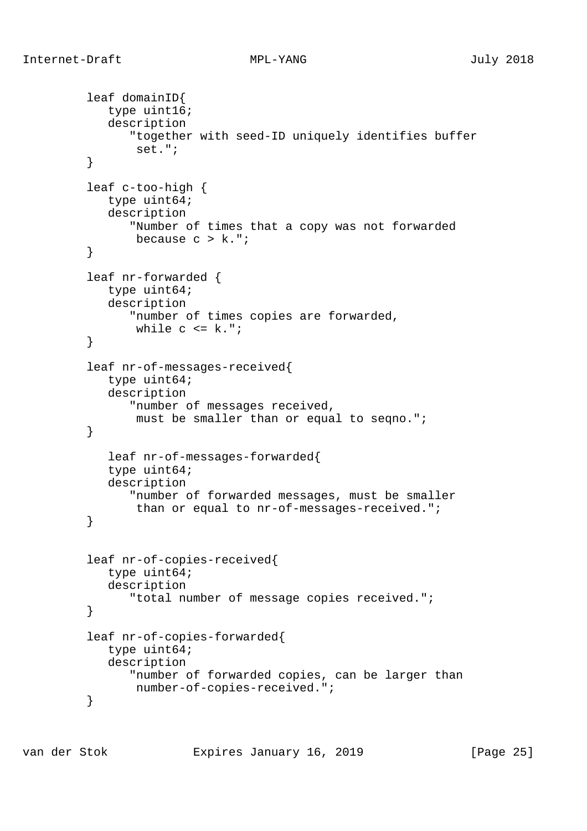```
 leaf domainID{
            type uint16;
            description
               "together with seed-ID uniquely identifies buffer
        set.";<br>}
 }
         leaf c-too-high {
            type uint64;
            description
               "Number of times that a copy was not forwarded
               because c > k.";
 }
         leaf nr-forwarded {
            type uint64;
            description
               "number of times copies are forwarded,
        while c \leq k.";
 }
         leaf nr-of-messages-received{
            type uint64;
            description
               "number of messages received,
        must be smaller than or equal to seqno.";<br>}
 }
            leaf nr-of-messages-forwarded{
            type uint64;
            description
               "number of forwarded messages, must be smaller
                than or equal to nr-of-messages-received.";
 }
         leaf nr-of-copies-received{
            type uint64;
            description
               "total number of message copies received.";
 }
         leaf nr-of-copies-forwarded{
            type uint64;
            description
               "number of forwarded copies, can be larger than
                number-of-copies-received.";
 }
```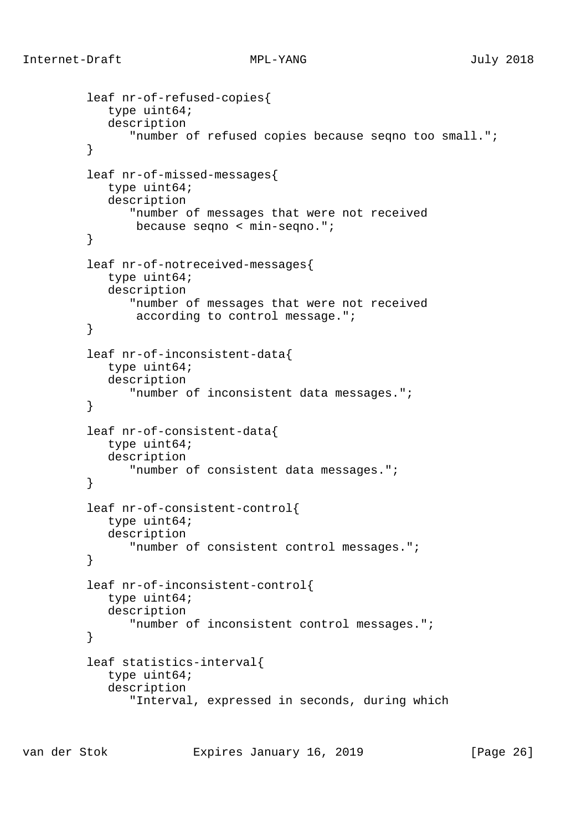```
 leaf nr-of-refused-copies{
            type uint64;
            description
               "number of refused copies because seqno too small.";
 }
         leaf nr-of-missed-messages{
            type uint64;
            description
               "number of messages that were not received
                because seqno < min-seqno.";
 }
         leaf nr-of-notreceived-messages{
            type uint64;
            description
               "number of messages that were not received
                according to control message.";
 }
         leaf nr-of-inconsistent-data{
            type uint64;
            description
         "number of inconsistent data messages.";
 }
         leaf nr-of-consistent-data{
            type uint64;
            description
               "number of consistent data messages.";
 }
         leaf nr-of-consistent-control{
            type uint64;
            description
               "number of consistent control messages.";
 }
         leaf nr-of-inconsistent-control{
            type uint64;
            description
               "number of inconsistent control messages.";
 }
         leaf statistics-interval{
            type uint64;
            description
               "Interval, expressed in seconds, during which
```
van der Stok Expires January 16, 2019 [Page 26]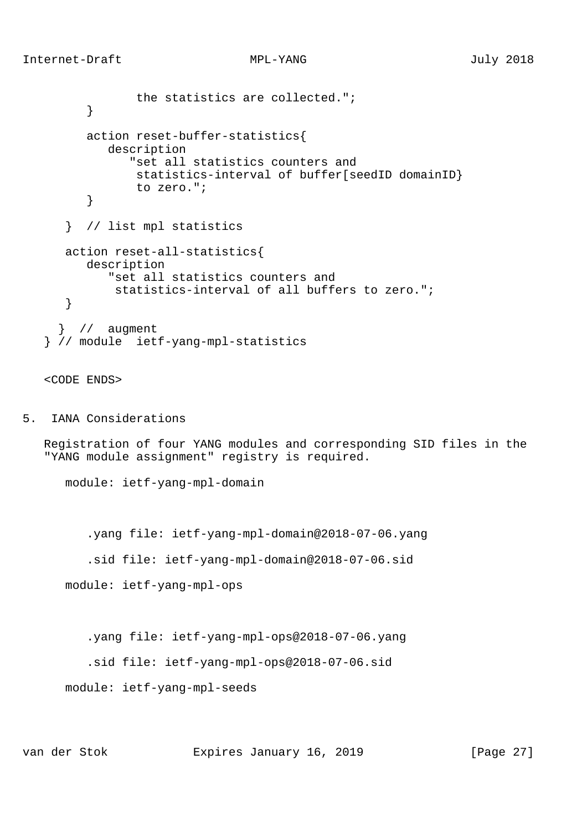```
 the statistics are collected.";
          }
          action reset-buffer-statistics{
             description
                "set all statistics counters and
                statistics-interval of buffer[seedID domainID}
         to zero.";<br>}
 }
       } // list mpl statistics
      action reset-all-statistics{
          description
            "set all statistics counters and
             statistics-interval of all buffers to zero.";
       }
      } // augment
    } // module ietf-yang-mpl-statistics
```
## <CODE ENDS>

5. IANA Considerations

 Registration of four YANG modules and corresponding SID files in the "YANG module assignment" registry is required.

module: ietf-yang-mpl-domain

.yang file: ietf-yang-mpl-domain@2018-07-06.yang

.sid file: ietf-yang-mpl-domain@2018-07-06.sid

module: ietf-yang-mpl-ops

.yang file: ietf-yang-mpl-ops@2018-07-06.yang

```
 .sid file: ietf-yang-mpl-ops@2018-07-06.sid
```
module: ietf-yang-mpl-seeds

van der Stok Expires January 16, 2019 [Page 27]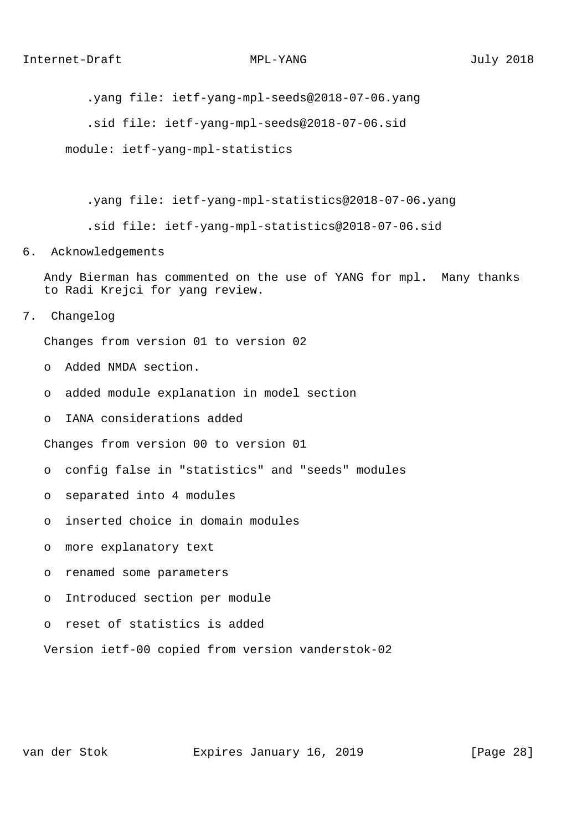.yang file: ietf-yang-mpl-seeds@2018-07-06.yang

.sid file: ietf-yang-mpl-seeds@2018-07-06.sid

module: ietf-yang-mpl-statistics

.yang file: ietf-yang-mpl-statistics@2018-07-06.yang

.sid file: ietf-yang-mpl-statistics@2018-07-06.sid

## 6. Acknowledgements

 Andy Bierman has commented on the use of YANG for mpl. Many thanks to Radi Krejci for yang review.

7. Changelog

Changes from version 01 to version 02

- o Added NMDA section.
- o added module explanation in model section
- o IANA considerations added

Changes from version 00 to version 01

- o config false in "statistics" and "seeds" modules
- o separated into 4 modules
- o inserted choice in domain modules
- o more explanatory text
- o renamed some parameters
- o Introduced section per module
- o reset of statistics is added

Version ietf-00 copied from version vanderstok-02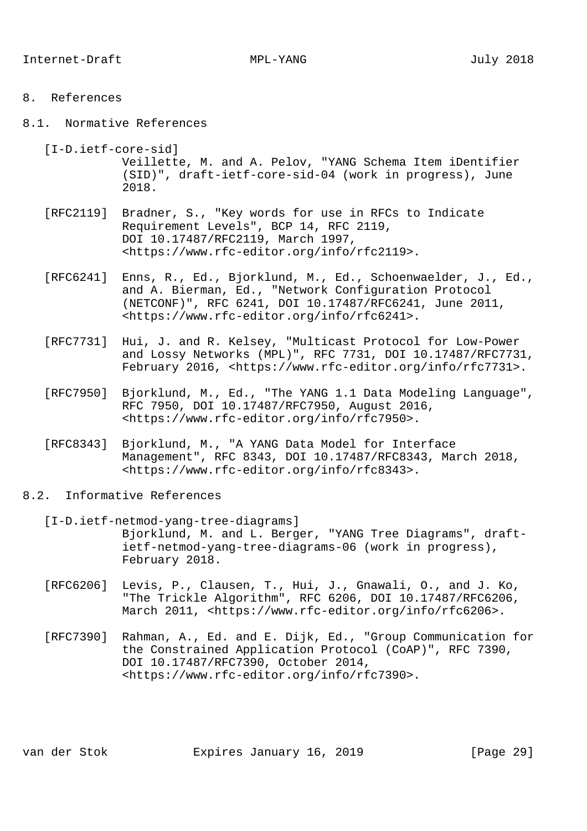## 8. References

- 8.1. Normative References
	- [I-D.ietf-core-sid] Veillette, M. and A. Pelov, "YANG Schema Item iDentifier (SID)", draft-ietf-core-sid-04 (work in progress), June 2018.
	- [RFC2119] Bradner, S., "Key words for use in RFCs to Indicate Requirement Levels", BCP 14, RFC 2119, DOI 10.17487/RFC2119, March 1997, <https://www.rfc-editor.org/info/rfc2119>.
	- [RFC6241] Enns, R., Ed., Bjorklund, M., Ed., Schoenwaelder, J., Ed., and A. Bierman, Ed., "Network Configuration Protocol (NETCONF)", RFC 6241, DOI 10.17487/RFC6241, June 2011, <https://www.rfc-editor.org/info/rfc6241>.
	- [RFC7731] Hui, J. and R. Kelsey, "Multicast Protocol for Low-Power and Lossy Networks (MPL)", RFC 7731, DOI 10.17487/RFC7731, February 2016, <https://www.rfc-editor.org/info/rfc7731>.
	- [RFC7950] Bjorklund, M., Ed., "The YANG 1.1 Data Modeling Language", RFC 7950, DOI 10.17487/RFC7950, August 2016, <https://www.rfc-editor.org/info/rfc7950>.
	- [RFC8343] Bjorklund, M., "A YANG Data Model for Interface Management", RFC 8343, DOI 10.17487/RFC8343, March 2018, <https://www.rfc-editor.org/info/rfc8343>.
- 8.2. Informative References
	- [I-D.ietf-netmod-yang-tree-diagrams] Bjorklund, M. and L. Berger, "YANG Tree Diagrams", draft ietf-netmod-yang-tree-diagrams-06 (work in progress), February 2018.
	- [RFC6206] Levis, P., Clausen, T., Hui, J., Gnawali, O., and J. Ko, "The Trickle Algorithm", RFC 6206, DOI 10.17487/RFC6206, March 2011, <https://www.rfc-editor.org/info/rfc6206>.
	- [RFC7390] Rahman, A., Ed. and E. Dijk, Ed., "Group Communication for the Constrained Application Protocol (CoAP)", RFC 7390, DOI 10.17487/RFC7390, October 2014, <https://www.rfc-editor.org/info/rfc7390>.

van der Stok Expires January 16, 2019 [Page 29]